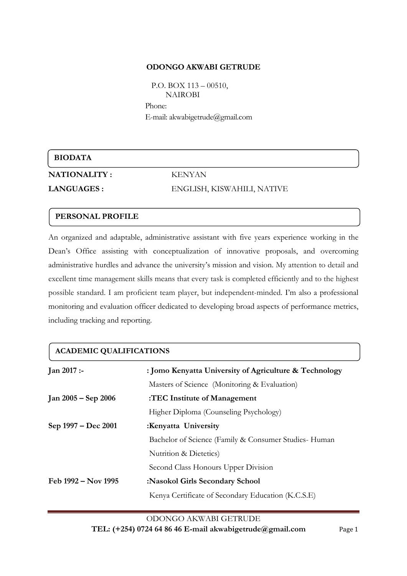#### **ODONGO AKWABI GETRUDE**

 P.O. BOX 113 – 00510, **NAIROBI** Phone: E-mail: akwabigetrud[e@gmail.com](mailto:odhiambowuor@yahoo.com)

## **BIODATA**

**NATIONALITY :** KENYAN

# **LANGUAGES :** ENGLISH, KISWAHILI, NATIVE

## **PERSONAL PROFILE**

An organized and adaptable, administrative assistant with five years experience working in the Dean's Office assisting with conceptualization of innovative proposals, and overcoming administrative hurdles and advance the university's mission and vision. My attention to detail and excellent time management skills means that every task is completed efficiently and to the highest possible standard. I am proficient team player, but independent-minded. I'm also a professional monitoring and evaluation officer dedicated to developing broad aspects of performance metrics, including tracking and reporting.

## **ACADEMIC QUALIFICATIONS**

| <b>Jan 2017 :-</b>  | : Jomo Kenyatta University of Agriculture & Technology |
|---------------------|--------------------------------------------------------|
|                     | Masters of Science (Monitoring & Evaluation)           |
| Jan 2005 – Sep 2006 | :TEC Institute of Management                           |
|                     | Higher Diploma (Counseling Psychology)                 |
| Sep 1997 – Dec 2001 | :Kenyatta University                                   |
|                     | Bachelor of Science (Family & Consumer Studies-Human   |
|                     | Nutrition & Dietetics)                                 |
|                     | Second Class Honours Upper Division                    |
| Feb 1992 – Nov 1995 | :Nasokol Girls Secondary School                        |
|                     | Kenya Certificate of Secondary Education (K.C.S.E)     |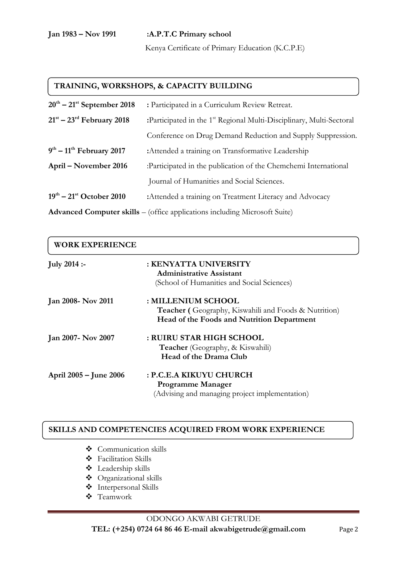## **Jan 1983 – Nov 1991 :A.P.T.C Primary school**

Kenya Certificate of Primary Education (K.C.P.E)

#### **TRAINING, WORKSHOPS, & CAPACITY BUILDING**

| $20^{th}$ – $21^{st}$ September 2018                                              | : Participated in a Curriculum Review Retreat.                                   |
|-----------------------------------------------------------------------------------|----------------------------------------------------------------------------------|
| $21st - 23rd$ February 2018                                                       | :Participated in the 1 <sup>st</sup> Regional Multi-Disciplinary, Multi-Sectoral |
|                                                                                   | Conference on Drug Demand Reduction and Supply Suppression.                      |
| $9th - 11th$ February 2017                                                        | : Attended a training on Transformative Leadership                               |
| April – November 2016                                                             | :Participated in the publication of the Chemchemi International                  |
|                                                                                   | Journal of Humanities and Social Sciences.                                       |
| $19^{th} - 21^{st}$ October 2010                                                  | :Attended a training on Treatment Literacy and Advocacy                          |
| <b>Advanced Computer skills</b> – (office applications including Microsoft Suite) |                                                                                  |

| <b>WORK EXPERIENCE</b> |                                                             |  |
|------------------------|-------------------------------------------------------------|--|
| <b>July 2014 :-</b>    | : KENYATTA UNIVERSITY                                       |  |
|                        | <b>Administrative Assistant</b>                             |  |
|                        | (School of Humanities and Social Sciences)                  |  |
| Jan 2008- Nov 2011     | : MILLENIUM SCHOOL                                          |  |
|                        | <b>Teacher</b> (Geography, Kiswahili and Foods & Nutrition) |  |
|                        | Head of the Foods and Nutrition Department                  |  |
| Jan 2007- Nov 2007     | : RUIRU STAR HIGH SCHOOL                                    |  |
|                        | <b>Teacher</b> (Geography, & Kiswahili)                     |  |
|                        | Head of the Drama Club                                      |  |
| April 2005 – June 2006 | : P.C.E.A KIKUYU CHURCH                                     |  |
|                        | <b>Programme Manager</b>                                    |  |
|                        | (Advising and managing project implementation)              |  |

#### **SKILLS AND COMPETENCIES ACQUIRED FROM WORK EXPERIENCE**

- Communication skills
- Facilitation Skills
- **\*** Leadership skills
- Organizational skills
- Interpersonal Skills
- Teamwork